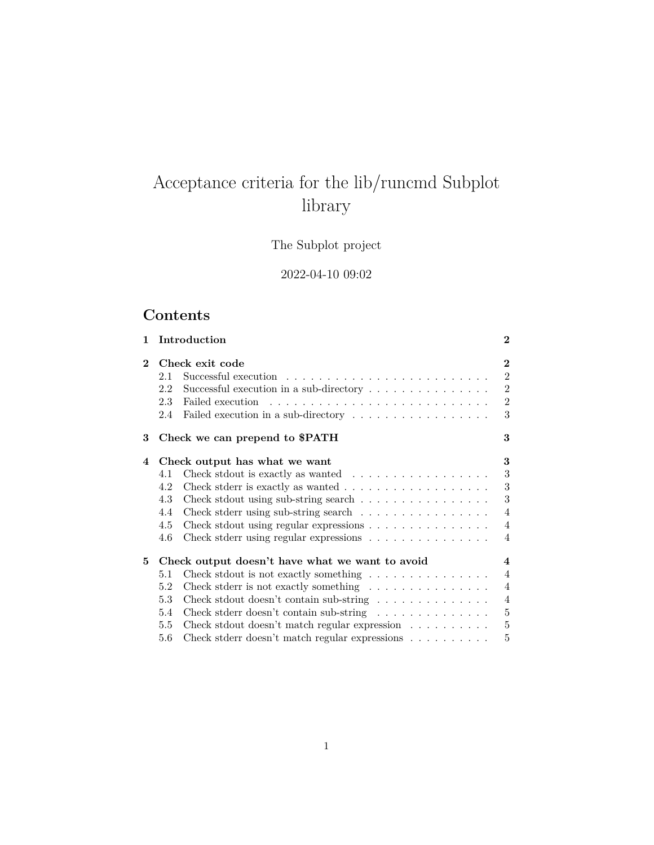# Acceptance criteria for the lib/runcmd Subplot library

## The Subplot project

## 2022-04-10 09:02

## **Contents**

| $\mathbf{1}$ |                                                         | Introduction                                                                                                                                                                                                                                                                                                                                                                                                                                                                                                                                             | $\bf{2}$                                                                                                                                       |
|--------------|---------------------------------------------------------|----------------------------------------------------------------------------------------------------------------------------------------------------------------------------------------------------------------------------------------------------------------------------------------------------------------------------------------------------------------------------------------------------------------------------------------------------------------------------------------------------------------------------------------------------------|------------------------------------------------------------------------------------------------------------------------------------------------|
| $\mathbf{2}$ | 2.1<br>2.2<br>2.3<br>2.4                                | Check exit code<br>Successful execution in a sub-directory $\dots \dots \dots \dots \dots$<br>Failed execution in a sub-directory                                                                                                                                                                                                                                                                                                                                                                                                                        | $\bf{2}$<br>$\overline{2}$<br>$\overline{2}$<br>$\overline{2}$<br>3                                                                            |
| 3            |                                                         | Check we can prepend to \$PATH                                                                                                                                                                                                                                                                                                                                                                                                                                                                                                                           | 3                                                                                                                                              |
| 4            | 4.1<br>4.2<br>4.3<br>4.4<br>4.5                         | Check output has what we want<br>Check stdout is exactly as wanted $\ldots \ldots \ldots \ldots \ldots$<br>Check stdout using sub-string search $\hfill\ldots\ldots\ldots\ldots\ldots\ldots\ldots\ldots$<br>Check stderr using sub-string search $\ldots \ldots \ldots \ldots \ldots$<br>Check stdout using regular expressions                                                                                                                                                                                                                          | 3<br>3<br>3<br>3<br>$\overline{4}$<br>$\overline{4}$                                                                                           |
| 5            | 4.6<br>5.1<br>5.2<br>5.3<br>$5.4^{\circ}$<br>5.5<br>5.6 | Check stderr using regular expressions<br>Check output doesn't have what we want to avoid<br>Check stdout is not exactly something $\ldots \ldots \ldots \ldots \ldots$<br>Check stderr is not exactly something $\ldots \ldots \ldots \ldots \ldots$<br>Check stdout doesn't contain sub-string $\ldots \ldots \ldots \ldots$<br>Check stderr doesn't contain sub-string $\ldots \ldots \ldots \ldots$<br>Check stdout doesn't match regular expression $\ldots \ldots \ldots$<br>Check stderr doesn't match regular expressions $\ldots \ldots \ldots$ | $\overline{4}$<br>$\overline{\mathbf{4}}$<br>$\overline{4}$<br>$\overline{4}$<br>$\overline{4}$<br>$\overline{5}$<br>$\bf 5$<br>$\overline{5}$ |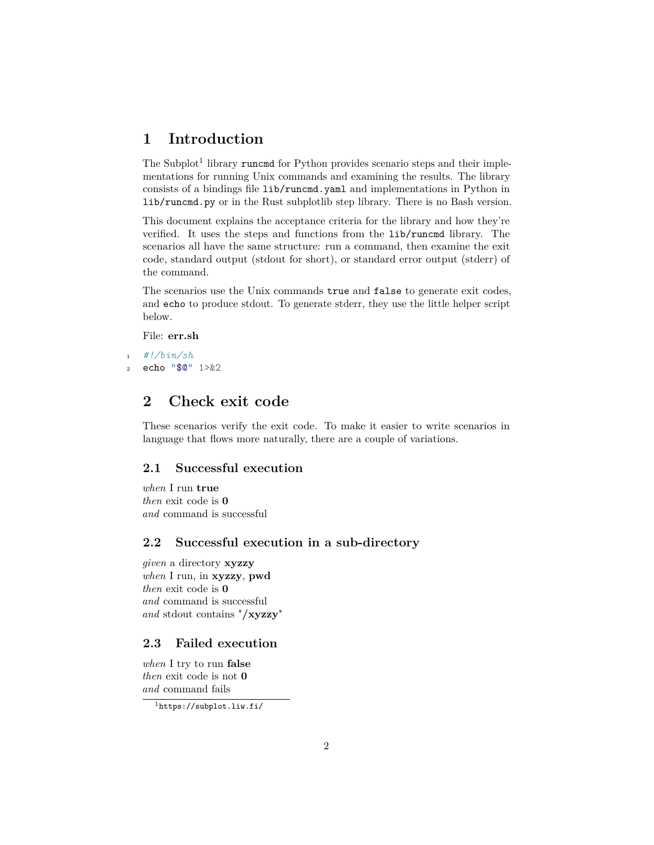## <span id="page-1-0"></span>**1 Introduction**

The Subplot<sup>[1](#page-1-5)</sup> library runcmd for Python provides scenario steps and their implementations for running Unix commands and examining the results. The library consists of a bindings file lib/runcmd.yaml and implementations in Python in lib/runcmd.py or in the Rust subplotlib step library. There is no Bash version.

This document explains the acceptance criteria for the library and how they're verified. It uses the steps and functions from the lib/runcmd library. The scenarios all have the same structure: run a command, then examine the exit code, standard output (stdout for short), or standard error output (stderr) of the command.

The scenarios use the Unix commands true and false to generate exit codes, and echo to produce stdout. To generate stderr, they use the little helper script below.

File: **err.sh**

```
1 #!/bin/sh
  2 echo "$@" 1>&2
```
## <span id="page-1-1"></span>**2 Check exit code**

These scenarios verify the exit code. To make it easier to write scenarios in language that flows more naturally, there are a couple of variations.

#### <span id="page-1-2"></span>**2.1 Successful execution**

*when* I run **true** *then* exit code is **0** *and* command is successful

#### <span id="page-1-3"></span>**2.2 Successful execution in a sub-directory**

*given* a directory **xyzzy** *when* I run, in **xyzzy**, **pwd** *then* exit code is **0** *and* command is successful *and* stdout contains "**/xyzzy**"

#### <span id="page-1-4"></span>**2.3 Failed execution**

*when* I try to run **false** *then* exit code is not **0** *and* command fails

<span id="page-1-5"></span><sup>1</sup><https://subplot.liw.fi/>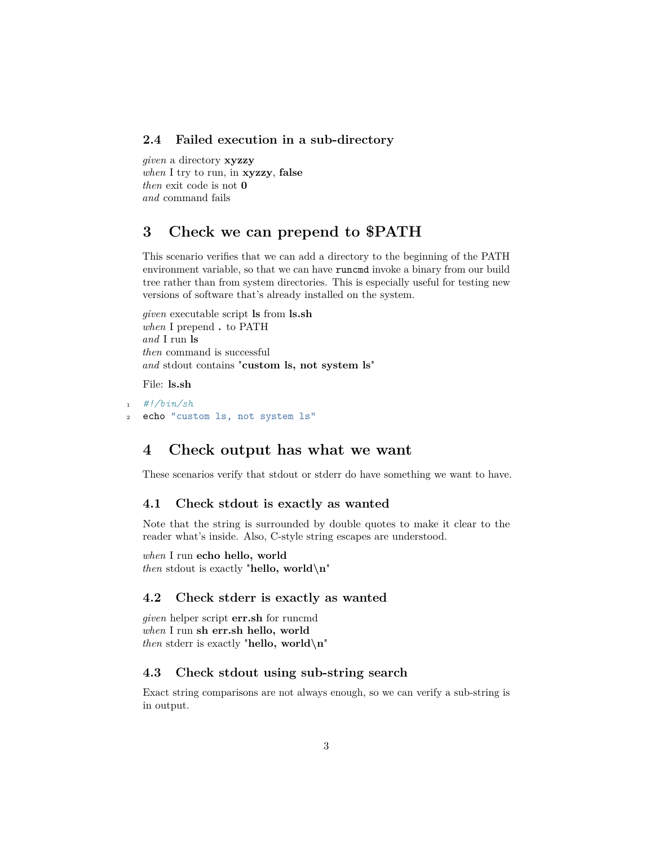#### <span id="page-2-0"></span>**2.4 Failed execution in a sub-directory**

*given* a directory **xyzzy** *when* I try to run, in **xyzzy**, **false** *then* exit code is not **0** *and* command fails

## <span id="page-2-1"></span>**3 Check we can prepend to \$PATH**

This scenario verifies that we can add a directory to the beginning of the PATH environment variable, so that we can have runcmd invoke a binary from our build tree rather than from system directories. This is especially useful for testing new versions of software that's already installed on the system.

*given* executable script **ls** from **ls.sh** *when* I prepend **.** to PATH *and* I run **ls** *then* command is successful *and* stdout contains "**custom ls, not system ls**"

File: **ls.sh**

```
1 #!/bin/sh
2 echo "custom ls, not system ls"
```
## <span id="page-2-2"></span>**4 Check output has what we want**

These scenarios verify that stdout or stderr do have something we want to have.

#### <span id="page-2-3"></span>**4.1 Check stdout is exactly as wanted**

Note that the string is surrounded by double quotes to make it clear to the reader what's inside. Also, C-style string escapes are understood.

```
when I run echo hello, world
then stdout is exactly "hello, world\n"
```
#### <span id="page-2-4"></span>**4.2 Check stderr is exactly as wanted**

*given* helper script **err.sh** for runcmd *when* I run **sh err.sh hello, world** *then* stderr is exactly "**hello, world\n**"

#### <span id="page-2-5"></span>**4.3 Check stdout using sub-string search**

Exact string comparisons are not always enough, so we can verify a sub-string is in output.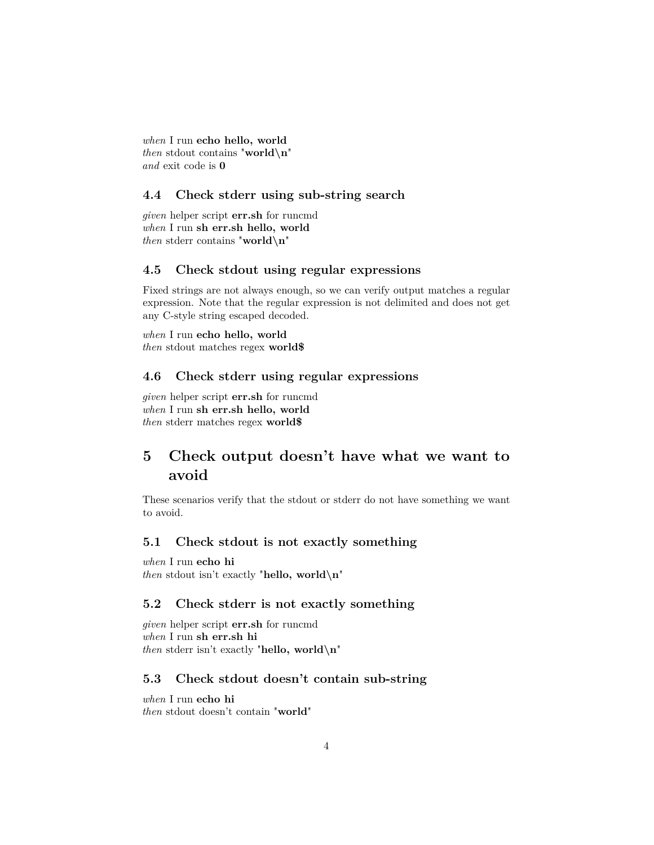*when* I run **echo hello, world** *then* stdout contains "**world\n**" *and* exit code is **0**

#### <span id="page-3-0"></span>**4.4 Check stderr using sub-string search**

*given* helper script **err.sh** for runcmd *when* I run **sh err.sh hello, world** *then* stderr contains "**world\n**"

#### <span id="page-3-1"></span>**4.5 Check stdout using regular expressions**

Fixed strings are not always enough, so we can verify output matches a regular expression. Note that the regular expression is not delimited and does not get any C-style string escaped decoded.

*when* I run **echo hello, world** *then* stdout matches regex **world\$**

#### <span id="page-3-2"></span>**4.6 Check stderr using regular expressions**

*given* helper script **err.sh** for runcmd *when* I run **sh err.sh hello, world** *then* stderr matches regex **world\$**

## <span id="page-3-3"></span>**5 Check output doesn't have what we want to avoid**

These scenarios verify that the stdout or stderr do not have something we want to avoid.

#### <span id="page-3-4"></span>**5.1 Check stdout is not exactly something**

*when* I run **echo hi** *then* stdout isn't exactly "**hello, world\n**"

### <span id="page-3-5"></span>**5.2 Check stderr is not exactly something**

*given* helper script **err.sh** for runcmd *when* I run **sh err.sh hi** *then* stderr isn't exactly "**hello, world\n**"

#### <span id="page-3-6"></span>**5.3 Check stdout doesn't contain sub-string**

*when* I run **echo hi** *then* stdout doesn't contain "**world**"